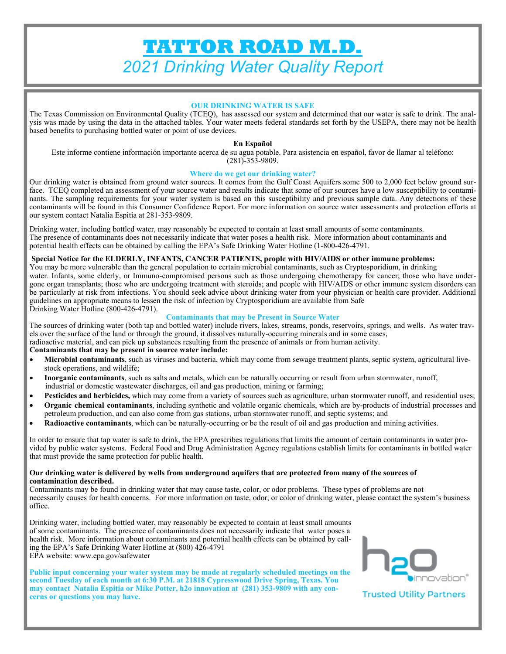# **TATTOR ROAD M.D.**  *2021 Drinking Water Quality Report*

#### **OUR DRINKING WATER IS SAFE**

The Texas Commission on Environmental Quality (TCEQ), has assessed our system and determined that our water is safe to drink. The analysis was made by using the data in the attached tables. Your water meets federal standards set forth by the USEPA, there may not be health based benefits to purchasing bottled water or point of use devices.

#### **En Español**

Este informe contiene información importante acerca de su agua potable. Para asistencia en español, favor de llamar al teléfono:  $(281)$ -353-9809.

#### **Where do we get our drinking water?**

Our drinking water is obtained from ground water sources. It comes from the Gulf Coast Aquifers some 500 to 2,000 feet below ground surface. TCEQ completed an assessment of your source water and results indicate that some of our sources have a low susceptibility to contaminants. The sampling requirements for your water system is based on this susceptibility and previous sample data. Any detections of these contaminants will be found in this Consumer Confidence Report. For more information on source water assessments and protection efforts at our system contact Natalia Espitia at 281-353-9809.

Drinking water, including bottled water, may reasonably be expected to contain at least small amounts of some contaminants. The presence of contaminants does not necessarily indicate that water poses a health risk. More information about contaminants and potential health effects can be obtained by calling the EPA's Safe Drinking Water Hotline (1-800-426-4791.

#### **Special Notice for the ELDERLY, INFANTS, CANCER PATIENTS, people with HIV/AIDS or other immune problems:**

You may be more vulnerable than the general population to certain microbial contaminants, such as Cryptosporidium, in drinking water. Infants, some elderly, or Immuno-compromised persons such as those undergoing chemotherapy for cancer; those who have undergone organ transplants; those who are undergoing treatment with steroids; and people with HIV/AIDS or other immune system disorders can be particularly at risk from infections. You should seek advice about drinking water from your physician or health care provider. Additional guidelines on appropriate means to lessen the risk of infection by Cryptosporidium are available from Safe Drinking Water Hotline (800-426-4791).

#### **Contaminants that may be Present in Source Water**

The sources of drinking water (both tap and bottled water) include rivers, lakes, streams, ponds, reservoirs, springs, and wells. As water travels over the surface of the land or through the ground, it dissolves naturally-occurring minerals and in some cases,

radioactive material, and can pick up substances resulting from the presence of animals or from human activity.

#### **Contaminants that may be present in source water include:**

- **Microbial contaminants**, such as viruses and bacteria, which may come from sewage treatment plants, septic system, agricultural livestock operations, and wildlife;
- **Inorganic contaminants**, such as salts and metals, which can be naturally occurring or result from urban stormwater, runoff, industrial or domestic wastewater discharges, oil and gas production, mining or farming;
- **Pesticides and herbicides,** which may come from a variety of sources such as agriculture, urban stormwater runoff, and residential uses;
- **Organic chemical contaminants**, including synthetic and volatile organic chemicals, which are by-products of industrial processes and petroleum production, and can also come from gas stations, urban stormwater runoff, and septic systems; and
- **Radioactive contaminants**, which can be naturally-occurring or be the result of oil and gas production and mining activities.

In order to ensure that tap water is safe to drink, the EPA prescribes regulations that limits the amount of certain contaminants in water provided by public water systems. Federal Food and Drug Administration Agency regulations establish limits for contaminants in bottled water that must provide the same protection for public health.

#### **Our drinking water is delivered by wells from underground aquifers that are protected from many of the sources of contamination described.**

Contaminants may be found in drinking water that may cause taste, color, or odor problems. These types of problems are not necessarily causes for health concerns. For more information on taste, odor, or color of drinking water, please contact the system's business office.

Drinking water, including bottled water, may reasonably be expected to contain at least small amounts of some contaminants. The presence of contaminants does not necessarily indicate that water poses a health risk. More information about contaminants and potential health effects can be obtained by calling the EPA's Safe Drinking Water Hotline at (800) 426-4791 EPA website: www.epa.gov/safewater

**Public input concerning your water system may be made at regularly scheduled meetings on the second Tuesday of each month at 6:30 P.M. at 21818 Cypresswood Drive Spring, Texas. You may contact Natalia Espitia or Mike Potter, h2o innovation at (281) 353-9809 with any concerns or questions you may have.** 



**Trusted Utility Partners**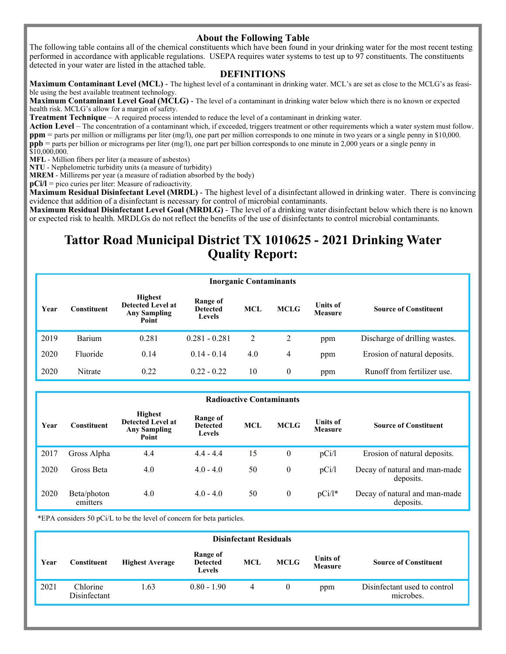### **About the Following Table**

The following table contains all of the chemical constituents which have been found in your drinking water for the most recent testing performed in accordance with applicable regulations. USEPA requires water systems to test up to 97 constituents. The constituents detected in your water are listed in the attached table.

#### **DEFINITIONS**

**Maximum Contaminant Level (MCL)** - The highest level of a contaminant in drinking water. MCL's are set as close to the MCLG's as feasible using the best available treatment technology.

**Maximum Contaminant Level Goal (MCLG)** - The level of a contaminant in drinking water below which there is no known or expected health risk. MCLG's allow for a margin of safety.

**Treatment Technique** – A required process intended to reduce the level of a contaminant in drinking water.

**Action Level** – The concentration of a contaminant which, if exceeded, triggers treatment or other requirements which a water system must follow. **ppm** = parts per million or milligrams per liter (mg/l), one part per million corresponds to one minute in two years or a single penny in \$10,000. **ppb** = parts per billion or micrograms per liter (mg/l), one part per billion corresponds to one minute in 2,000 years or a single penny in  $$10,000,000.$ 

**MFL** - Million fibers per liter (a measure of asbestos)

**NTU** - Nephelometric turbidity units (a measure of turbidity)

**MREM** - Millirems per year (a measure of radiation absorbed by the body)

**pCi/l** = pico curies per liter: Measure of radioactivity.

**Maximum Residual Disinfectant Level (MRDL)** - The highest level of a disinfectant allowed in drinking water. There is convincing evidence that addition of a disinfectant is necessary for control of microbial contaminants.

**Maximum Residual Disinfectant Level Goal (MRDLG)** - The level of a drinking water disinfectant below which there is no known or expected risk to health. MRDLGs do not reflect the benefits of the use of disinfectants to control microbial contaminants.

## **Tattor Road Municipal District TX 1010625 - 2021 Drinking Water Quality Report:**

|      | <b>Inorganic Contaminants</b> |                                                                     |                                       |            |                |                                   |                               |  |  |  |
|------|-------------------------------|---------------------------------------------------------------------|---------------------------------------|------------|----------------|-----------------------------------|-------------------------------|--|--|--|
| Year | Constituent                   | <b>Highest</b><br>Detected Level at<br><b>Any Sampling</b><br>Point | Range of<br><b>Detected</b><br>Levels | <b>MCL</b> | <b>MCLG</b>    | <b>Units of</b><br><b>Measure</b> | <b>Source of Constituent</b>  |  |  |  |
| 2019 | Barium                        | 0.281                                                               | $0.281 - 0.281$                       | 2          | $\overline{2}$ | ppm                               | Discharge of drilling wastes. |  |  |  |
| 2020 | Fluoride                      | 0.14                                                                | $0.14 - 0.14$                         | 4.0        | 4              | ppm                               | Erosion of natural deposits.  |  |  |  |
| 2020 | Nitrate                       | 0.22                                                                | $0.22 - 0.22$                         | 10         | $\theta$       | ppm                               | Runoff from fertilizer use.   |  |  |  |

|      | <b>Radioactive Contaminants</b> |                                                                            |                                       |            |                  |                                   |                                            |  |  |  |  |
|------|---------------------------------|----------------------------------------------------------------------------|---------------------------------------|------------|------------------|-----------------------------------|--------------------------------------------|--|--|--|--|
| Year | <b>Constituent</b>              | <b>Highest</b><br><b>Detected Level at</b><br><b>Any Sampling</b><br>Point | Range of<br><b>Detected</b><br>Levels | <b>MCL</b> | <b>MCLG</b>      | <b>Units of</b><br><b>Measure</b> | <b>Source of Constituent</b>               |  |  |  |  |
| 2017 | Gross Alpha                     | 4.4                                                                        | $4.4 - 4.4$                           | 15         | $\mathbf{0}$     | pCi/l                             | Erosion of natural deposits.               |  |  |  |  |
| 2020 | Gross Beta                      | 4.0                                                                        | $4.0 - 4.0$                           | 50         | $\boldsymbol{0}$ | pCi/l                             | Decay of natural and man-made<br>deposits. |  |  |  |  |
| 2020 | Beta/photon<br>emitters         | 4.0                                                                        | $4.0 - 4.0$                           | 50         | $\mathbf{0}$     | $pCi/l^*$                         | Decay of natural and man-made<br>deposits. |  |  |  |  |

\*EPA considers 50 pCi/L to be the level of concern for beta particles.

|      | <b>Disinfectant Residuals</b> |                        |                                              |     |             |                                   |                                           |  |  |  |
|------|-------------------------------|------------------------|----------------------------------------------|-----|-------------|-----------------------------------|-------------------------------------------|--|--|--|
| Year | Constituent                   | <b>Highest Average</b> | Range of<br><b>Detected</b><br><b>Levels</b> | MCL | <b>MCLG</b> | <b>Units of</b><br><b>Measure</b> | <b>Source of Constituent</b>              |  |  |  |
| 2021 | Chlorine<br>Disinfectant      | .63                    | $0.80 - 1.90$                                | 4   | $\theta$    | ppm                               | Disinfectant used to control<br>microbes. |  |  |  |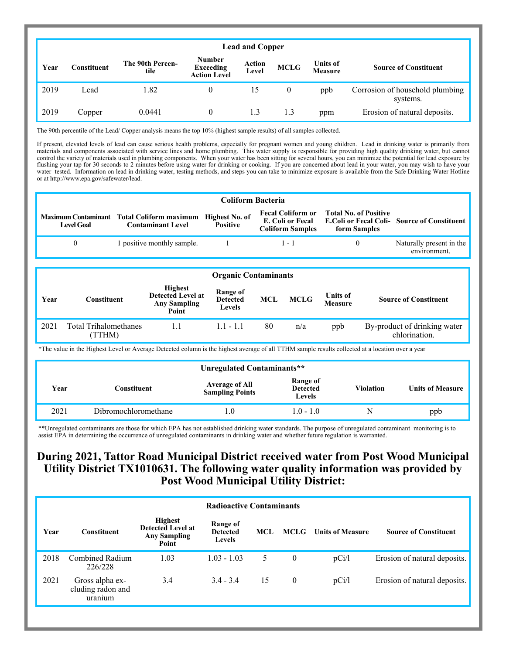|      | <b>Lead and Copper</b> |                          |                                                          |                        |              |                                   |                                             |  |  |
|------|------------------------|--------------------------|----------------------------------------------------------|------------------------|--------------|-----------------------------------|---------------------------------------------|--|--|
| Year | Constituent            | The 90th Percen-<br>tile | <b>Number</b><br><b>Exceeding</b><br><b>Action Level</b> | <b>Action</b><br>Level | <b>MCLG</b>  | <b>Units of</b><br><b>Measure</b> | <b>Source of Constituent</b>                |  |  |
| 2019 | Lead                   | 1.82                     | 0                                                        | 15                     | $\mathbf{0}$ | ppb                               | Corrosion of household plumbing<br>systems. |  |  |
| 2019 | Copper                 | 0.0441                   | 0                                                        | 1.3                    | 1.3          | ppm                               | Erosion of natural deposits.                |  |  |

The 90th percentile of the Lead/ Copper analysis means the top 10% (highest sample results) of all samples collected.

If present, elevated levels of lead can cause serious health problems, especially for pregnant women and young children. Lead in drinking water is primarily from materials and components associated with service lines and home plumbing. This water supply is responsible for providing high quality drinking water, but cannot control the variety of materials used in plumbing components. When your water has been sitting for several hours, you can minimize the potential for lead exposure by flushing your tap for 30 seconds to 2 minutes before using water for drinking or cooking. If you are concerned about lead in your water, you may wish to have your water tested. Information on lead in drinking water, testing methods, and steps you can take to minimize exposure is available from the Safe Drinking Water Hotline or at http://www.epa.gov/safewater/lead.

| <b>Coliform Bacteria</b> |                                                                                       |                 |                                                     |                                              |                                                              |  |  |  |  |  |
|--------------------------|---------------------------------------------------------------------------------------|-----------------|-----------------------------------------------------|----------------------------------------------|--------------------------------------------------------------|--|--|--|--|--|
| <b>Level Goal</b>        | Maximum Contaminant Total Coliform maximum Highest No. of<br><b>Contaminant Level</b> | <b>Positive</b> | <b>Fecal Coliform or</b><br><b>Coliform Samples</b> | <b>Total No. of Positive</b><br>form Samples | E. Coli or Fecal E. Coli or Fecal Coli-Source of Constituent |  |  |  |  |  |
| $\theta$                 | 1 positive monthly sample.                                                            |                 | $1 - 1$                                             |                                              | Naturally present in the<br>environment.                     |  |  |  |  |  |

|      | <b>Organic Contaminants</b>           |                                                                            |                                       |            |             |                                   |                                               |  |  |
|------|---------------------------------------|----------------------------------------------------------------------------|---------------------------------------|------------|-------------|-----------------------------------|-----------------------------------------------|--|--|
| Year | Constituent                           | <b>Highest</b><br><b>Detected Level at</b><br><b>Any Sampling</b><br>Point | Range of<br><b>Detected</b><br>Levels | <b>MCL</b> | <b>MCLG</b> | <b>Units of</b><br><b>Measure</b> | <b>Source of Constituent</b>                  |  |  |
| 2021 | <b>Total Trihalomethanes</b><br>TTHM) | 1.1                                                                        | $1.1 - 1.1$                           | 80         | n/a         | ppb                               | By-product of drinking water<br>chlorination. |  |  |

\*The value in the Highest Level or Average Detected column is the highest average of all TTHM sample results collected at a location over a year

| Unregulated Contaminants** |                      |                                                 |                                       |                  |                         |  |  |  |
|----------------------------|----------------------|-------------------------------------------------|---------------------------------------|------------------|-------------------------|--|--|--|
| Year                       | Constituent          | <b>Average of All</b><br><b>Sampling Points</b> | Range of<br><b>Detected</b><br>Levels | <b>Violation</b> | <b>Units of Measure</b> |  |  |  |
| 2021                       | Dibromochloromethane |                                                 | $1.0 - 1.0$                           | N                | ppb                     |  |  |  |

\*\*Unregulated contaminants are those for which EPA has not established drinking water standards. The purpose of unregulated contaminant monitoring is to assist EPA in determining the occurrence of unregulated contaminants in drinking water and whether future regulation is warranted.

### **During 2021, Tattor Road Municipal District received water from Post Wood Municipal Utility District TX1010631. The following water quality information was provided by Post Wood Municipal Utility District:**

|      | <b>Radioactive Contaminants</b>                 |                                                                            |                                              |      |              |                         |                              |  |  |  |
|------|-------------------------------------------------|----------------------------------------------------------------------------|----------------------------------------------|------|--------------|-------------------------|------------------------------|--|--|--|
| Year | <b>Constituent</b>                              | <b>Highest</b><br><b>Detected Level at</b><br><b>Any Sampling</b><br>Point | Range of<br><b>Detected</b><br><b>Levels</b> | MCL. | <b>MCLG</b>  | <b>Units of Measure</b> | <b>Source of Constituent</b> |  |  |  |
| 2018 | Combined Radium<br>226/228                      | 1.03                                                                       | $1.03 - 1.03$                                | 5    | $\mathbf{0}$ | pCi/l                   | Erosion of natural deposits. |  |  |  |
| 2021 | Gross alpha ex-<br>cluding radon and<br>uranium | 3.4                                                                        | $3.4 - 3.4$                                  | 15   | $\mathbf{0}$ | pCi/l                   | Erosion of natural deposits. |  |  |  |